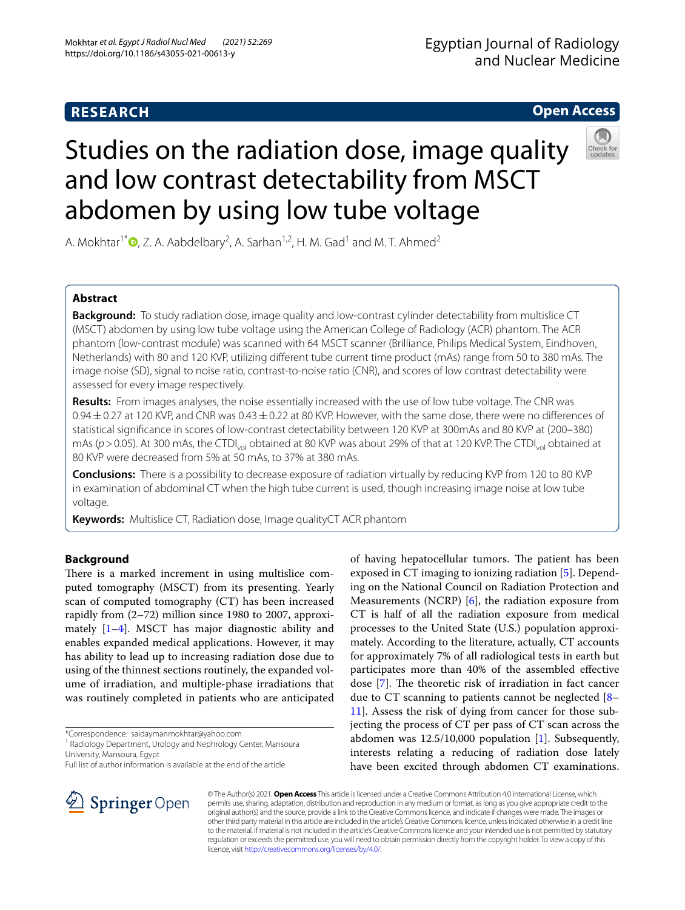## **RESEARCH**

# Egyptian Journal of Radiology and Nuclear Medicine

## **Open Access**



# Studies on the radiation dose, image quality and low contrast detectability from MSCT abdomen by using low tube voltage

A. Mokhtar<sup>1\*</sup> $\bullet$ [,](http://orcid.org/0000-0001-9704-8745) Z. A. Aabdelbary<sup>2</sup>, A. Sarhan<sup>1,2</sup>, H. M. Gad<sup>1</sup> and M. T. Ahmed<sup>2</sup>

## **Abstract**

**Background:** To study radiation dose, image quality and low-contrast cylinder detectability from multislice CT (MSCT) abdomen by using low tube voltage using the American College of Radiology (ACR) phantom. The ACR phantom (low-contrast module) was scanned with 64 MSCT scanner (Brilliance, Philips Medical System, Eindhoven, Netherlands) with 80 and 120 KVP, utilizing diferent tube current time product (mAs) range from 50 to 380 mAs. The image noise (SD), signal to noise ratio, contrast-to-noise ratio (CNR), and scores of low contrast detectability were assessed for every image respectively.

**Results:** From images analyses, the noise essentially increased with the use of low tube voltage. The CNR was  $0.94\pm0.27$  at 120 KVP, and CNR was  $0.43\pm0.22$  at 80 KVP. However, with the same dose, there were no differences of statistical signifcance in scores of low-contrast detectability between 120 KVP at 300mAs and 80 KVP at (200–380) mAs ( $p > 0.05$ ). At 300 mAs, the CTDI<sub>vol</sub> obtained at 80 KVP was about 29% of that at 120 KVP. The CTDI<sub>vol</sub> obtained at 80 KVP were decreased from 5% at 50 mAs, to 37% at 380 mAs.

**Conclusions:** There is a possibility to decrease exposure of radiation virtually by reducing KVP from 120 to 80 KVP in examination of abdominal CT when the high tube current is used, though increasing image noise at low tube voltage.

**Keywords:** Multislice CT, Radiation dose, Image qualityCT ACR phantom

## **Background**

There is a marked increment in using multislice computed tomography (MSCT) from its presenting. Yearly scan of computed tomography (CT) has been increased rapidly from (2–72) million since 1980 to 2007, approximately [[1–](#page-5-0)[4\]](#page-5-1). MSCT has major diagnostic ability and enables expanded medical applications. However, it may has ability to lead up to increasing radiation dose due to using of the thinnest sections routinely, the expanded volume of irradiation, and multiple-phase irradiations that was routinely completed in patients who are anticipated

\*Correspondence: saidaymanmokhtar@yahoo.com

<sup>1</sup> Radiology Department, Urology and Nephrology Center, Mansoura University, Mansoura, Egypt

Full list of author information is available at the end of the article

of having hepatocellular tumors. The patient has been exposed in CT imaging to ionizing radiation [\[5\]](#page-5-2). Depending on the National Council on Radiation Protection and Measurements (NCRP) [[6\]](#page-5-3), the radiation exposure from CT is half of all the radiation exposure from medical processes to the United State (U.S.) population approximately. According to the literature, actually, CT accounts for approximately 7% of all radiological tests in earth but participates more than 40% of the assembled efective dose  $[7]$  $[7]$ . The theoretic risk of irradiation in fact cancer due to CT scanning to patients cannot be neglected  $[8-$ [11\]](#page-5-6). Assess the risk of dying from cancer for those subjecting the process of CT per pass of CT scan across the abdomen was 12.5/10,000 population [\[1](#page-5-0)]. Subsequently, interests relating a reducing of radiation dose lately have been excited through abdomen CT examinations.



© The Author(s) 2021. **Open Access** This article is licensed under a Creative Commons Attribution 4.0 International License, which permits use, sharing, adaptation, distribution and reproduction in any medium or format, as long as you give appropriate credit to the original author(s) and the source, provide a link to the Creative Commons licence, and indicate if changes were made. The images or other third party material in this article are included in the article's Creative Commons licence, unless indicated otherwise in a credit line to the material. If material is not included in the article's Creative Commons licence and your intended use is not permitted by statutory regulation or exceeds the permitted use, you will need to obtain permission directly from the copyright holder. To view a copy of this licence, visit [http://creativecommons.org/licenses/by/4.0/.](http://creativecommons.org/licenses/by/4.0/)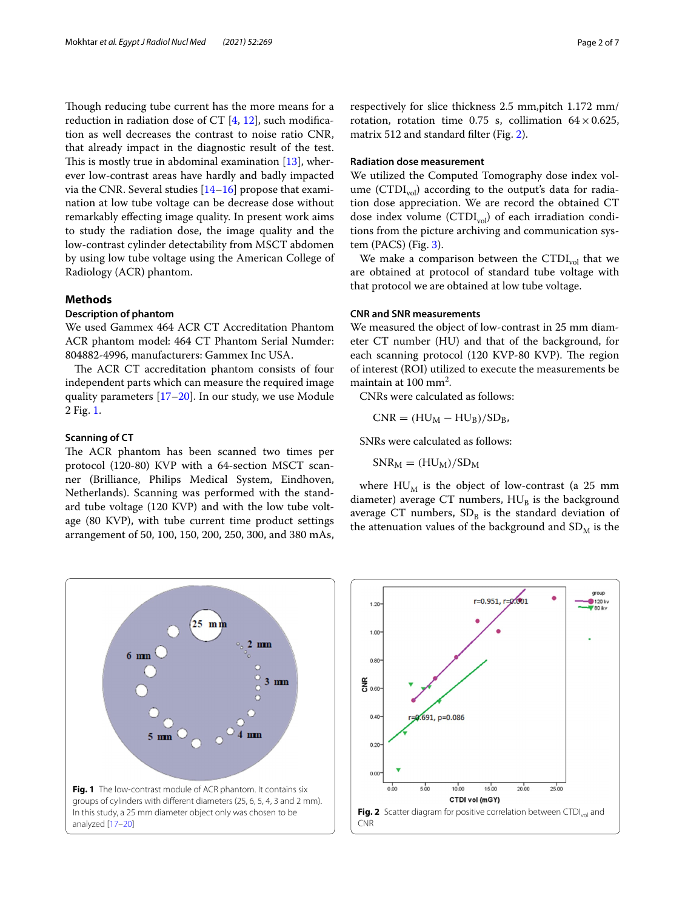Though reducing tube current has the more means for a reduction in radiation dose of CT  $[4, 12]$  $[4, 12]$  $[4, 12]$  $[4, 12]$  $[4, 12]$ , such modification as well decreases the contrast to noise ratio CNR, that already impact in the diagnostic result of the test. This is mostly true in abdominal examination  $[13]$  $[13]$ , wherever low-contrast areas have hardly and badly impacted via the CNR. Several studies [\[14](#page-6-2)[–16](#page-6-3)] propose that examination at low tube voltage can be decrease dose without remarkably efecting image quality. In present work aims to study the radiation dose, the image quality and the low-contrast cylinder detectability from MSCT abdomen by using low tube voltage using the American College of Radiology (ACR) phantom.

#### **Methods**

#### **Description of phantom**

We used Gammex 464 ACR CT Accreditation Phantom ACR phantom model: 464 CT Phantom Serial Numder: 804882-4996, manufacturers: Gammex Inc USA.

The ACR CT accreditation phantom consists of four independent parts which can measure the required image quality parameters [\[17](#page-6-4)[–20\]](#page-6-5). In our study, we use Module 2 Fig. [1.](#page-1-0)

#### **Scanning of CT**

The ACR phantom has been scanned two times per protocol (120-80) KVP with a 64-section MSCT scanner (Brilliance, Philips Medical System, Eindhoven, Netherlands). Scanning was performed with the standard tube voltage (120 KVP) and with the low tube voltage (80 KVP), with tube current time product settings arrangement of 50, 100, 150, 200, 250, 300, and 380 mAs,

respectively for slice thickness 2.5 mm,pitch 1.172 mm/ rotation, rotation time 0.75 s, collimation  $64 \times 0.625$ , matrix 512 and standard flter (Fig. [2\)](#page-1-1).

## **Radiation dose measurement**

We utilized the Computed Tomography dose index volume (CTDI $_{vol}$ ) according to the output's data for radiation dose appreciation. We are record the obtained CT dose index volume ( $\text{CTDI}_{\text{vol}}$ ) of each irradiation conditions from the picture archiving and communication system (PACS) (Fig. [3](#page-2-0)).

We make a comparison between the  $CTDI_{vol}$  that we are obtained at protocol of standard tube voltage with that protocol we are obtained at low tube voltage.

## **CNR and SNR measurements**

We measured the object of low-contrast in 25 mm diameter CT number (HU) and that of the background, for each scanning protocol (120 KVP-80 KVP). The region of interest (ROI) utilized to execute the measurements be maintain at  $100 \text{ mm}^2$ .

CNRs were calculated as follows:

$$
CNR = (HU_M - HU_B)/SD_B,
$$

SNRs were calculated as follows:

 $SNR_M = (HU_M)/SD_M$ 

where  $HU_M$  is the object of low-contrast (a 25 mm diameter) average CT numbers,  $HU<sub>B</sub>$  is the background average CT numbers,  $SD_B$  is the standard deviation of the attenuation values of the background and  $SD<sub>M</sub>$  is the

<span id="page-1-0"></span>

<span id="page-1-1"></span>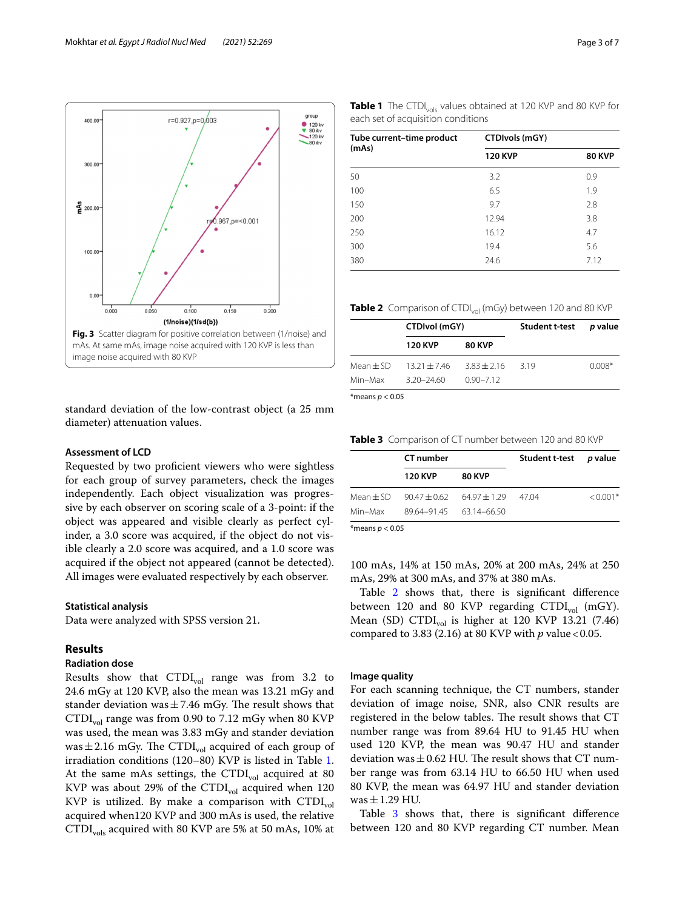



<span id="page-2-0"></span>standard deviation of the low-contrast object (a 25 mm diameter) attenuation values.

#### **Assessment of LCD**

Requested by two profcient viewers who were sightless for each group of survey parameters, check the images independently. Each object visualization was progressive by each observer on scoring scale of a 3-point: if the object was appeared and visible clearly as perfect cylinder, a 3.0 score was acquired, if the object do not visible clearly a 2.0 score was acquired, and a 1.0 score was acquired if the object not appeared (cannot be detected). All images were evaluated respectively by each observer.

#### **Statistical analysis**

Data were analyzed with SPSS version 21.

#### **Results**

## **Radiation dose**

Results show that  $CTDI_{vol}$  range was from 3.2 to 24.6 mGy at 120 KVP, also the mean was 13.21 mGy and stander deviation was  $\pm$  7.46 mGy. The result shows that  $CTDI<sub>vol</sub>$  range was from 0.90 to 7.12 mGy when 80 KVP was used, the mean was 3.83 mGy and stander deviation was  $\pm$  2.16 mGy. The CTDI<sub>vol</sub> acquired of each group of irradiation conditions (120–80) KVP is listed in Table [1](#page-2-1). At the same mAs settings, the CTDI<sub>vol</sub> acquired at 80 KVP was about 29% of the  $\text{CTDI}_{\text{vol}}$  acquired when 120 KVP is utilized. By make a comparison with  $\text{CTDI}_{\text{vol}}$ acquired when120 KVP and 300 mAs is used, the relative CTDI<sub>vols</sub> acquired with 80 KVP are 5% at 50 mAs, 10% at

<span id="page-2-1"></span>

|                                    |  | <b>Table 1</b> The CTDI <sub>vols</sub> values obtained at 120 KVP and 80 KVP for |  |  |  |  |
|------------------------------------|--|-----------------------------------------------------------------------------------|--|--|--|--|
| each set of acquisition conditions |  |                                                                                   |  |  |  |  |

| Tube current-time product | CTDIvols (mGY) |               |  |  |  |
|---------------------------|----------------|---------------|--|--|--|
| (mAs)                     | <b>120 KVP</b> | <b>80 KVP</b> |  |  |  |
| 50                        | 3.2            | 0.9           |  |  |  |
| 100                       | 6.5            | 1.9           |  |  |  |
| 150                       | 9.7            | 2.8           |  |  |  |
| 200                       | 12.94          | 3.8           |  |  |  |
| 250                       | 16.12          | 4.7           |  |  |  |
| 300                       | 19.4           | 5.6           |  |  |  |
| 380                       | 24.6           | 7.12          |  |  |  |

<span id="page-2-2"></span>**Table 2** Comparison of CTDI<sub>vol</sub> (mGy) between 120 and 80 KVP

|                    | CTDIvol (mGY)    |               | Student t-test p value |          |  |
|--------------------|------------------|---------------|------------------------|----------|--|
|                    | <b>120 KVP</b>   | <b>80 KVP</b> |                        |          |  |
| Mean $\pm$ SD $^-$ | $13.21 \pm 7.46$ | $3.83 + 2.16$ | 319                    | $0.008*$ |  |
| Min–Max            | $3.20 - 24.60$   | $0.90 - 7.12$ |                        |          |  |

\*means *p* < 0.05

<span id="page-2-3"></span>**Table 3** Comparison of CT number between 120 and 80 KVP

|                   | <b>CT</b> number                |                                           | Student t-test p value |            |  |
|-------------------|---------------------------------|-------------------------------------------|------------------------|------------|--|
|                   | 120 KVP                         | <b>80 KVP</b>                             |                        |            |  |
|                   |                                 | Mean ± SD 90.47 ± 0.62 64.97 ± 1.29 47.04 |                        | $< 0.001*$ |  |
|                   | Min-Max 89.64-91.45 63.14-66.50 |                                           |                        |            |  |
| *means $p < 0.05$ |                                 |                                           |                        |            |  |

100 mAs, 14% at 150 mAs, 20% at 200 mAs, 24% at 250 mAs, 29% at 300 mAs, and 37% at 380 mAs.

Table [2](#page-2-2) shows that, there is significant difference between 120 and 80 KVP regarding  $CTDI_{vol}$  (mGY). Mean (SD) CTDI<sub>vol</sub> is higher at 120 KVP 13.21 (7.46) compared to 3.83 (2.16) at 80 KVP with *p* value < 0.05.

#### **Image quality**

For each scanning technique, the CT numbers, stander deviation of image noise, SNR, also CNR results are registered in the below tables. The result shows that CT number range was from 89.64 HU to 91.45 HU when used 120 KVP, the mean was 90.47 HU and stander deviation was  $\pm$  0.62 HU. The result shows that CT number range was from 63.14 HU to 66.50 HU when used 80 KVP, the mean was 64.97 HU and stander deviation was  $\pm$  1.29 HU.

Table [3](#page-2-3) shows that, there is significant difference between 120 and 80 KVP regarding CT number. Mean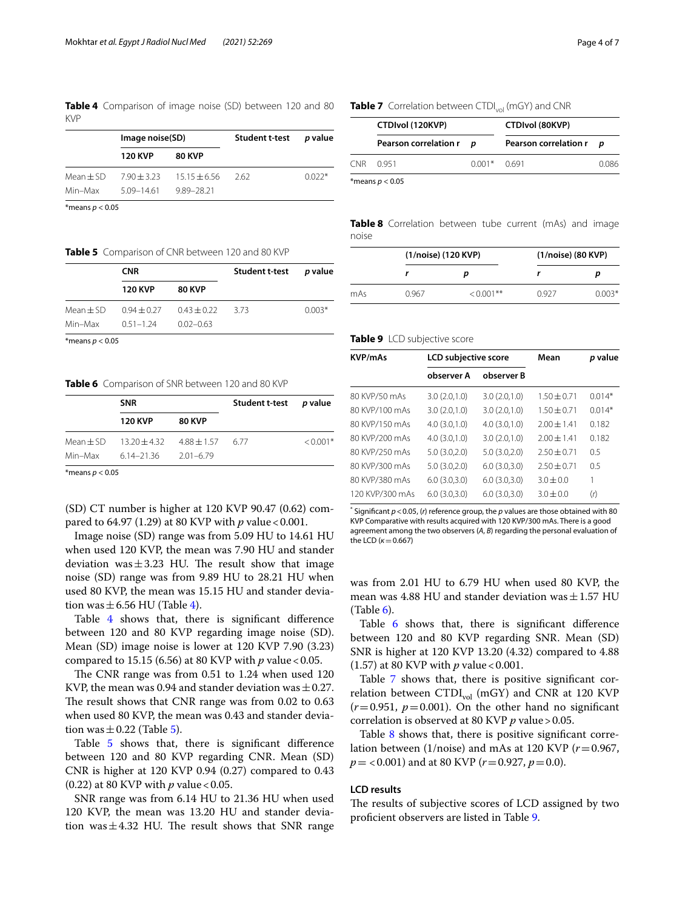<span id="page-3-0"></span>**Table 4** Comparison of image noise (SD) between 120 and 80 KVP

|             | Image noise(SD) |                                  | Student t-test p value |          |  |
|-------------|-----------------|----------------------------------|------------------------|----------|--|
|             | <b>120 KVP</b>  | <b>80 KVP</b>                    |                        |          |  |
| $Mean + SD$ |                 | $7.90 \pm 3.23$ $15.15 \pm 6.56$ | - 262                  | $0.022*$ |  |
| Min–Max     | 5.09–14.61      | 9.89-28.21                       |                        |          |  |

\*means *p* < 0.05

#### <span id="page-3-1"></span>**Table 5** Comparison of CNR between 120 and 80 KVP

|                             | <b>CNR</b>                           |               | Student t-test p value |          |
|-----------------------------|--------------------------------------|---------------|------------------------|----------|
|                             | <b>120 KVP</b>                       | <b>80 KVP</b> |                        |          |
| $Mean + SD$                 | $0.94 \pm 0.27$ $0.43 \pm 0.22$ 3.73 |               |                        | $0.003*$ |
| Min–Max                     | $0.51 - 1.24$                        | $0.02 - 0.63$ |                        |          |
| $\sim$ $\sim$ $\sim$ $\sim$ |                                      |               |                        |          |

\*means *p* < 0.05

#### <span id="page-3-2"></span>**Table 6** Comparison of SNR between 120 and 80 KVP

| <b>SNR</b>                                          |               | Student t-test p value |            |  |
|-----------------------------------------------------|---------------|------------------------|------------|--|
| <b>120 KVP</b>                                      | <b>80 KVP</b> |                        |            |  |
| Mean $\pm$ SD 13.20 $\pm$ 4.32 4.88 $\pm$ 1.57 6.77 |               |                        | $< 0.001*$ |  |
| Min-Max 6.14-21.36 2.01-6.79                        |               |                        |            |  |

\*means *p* < 0.05

(SD) CT number is higher at 120 KVP 90.47 (0.62) compared to 64.97 (1.29) at 80 KVP with *p* value<0.001.

Image noise (SD) range was from 5.09 HU to 14.61 HU when used 120 KVP, the mean was 7.90 HU and stander deviation was  $\pm$  3.23 HU. The result show that image noise (SD) range was from 9.89 HU to 28.21 HU when used 80 KVP, the mean was 15.15 HU and stander deviation was  $\pm$  6.56 HU (Table [4](#page-3-0)).

Table [4](#page-3-0) shows that, there is significant difference between 120 and 80 KVP regarding image noise (SD). Mean (SD) image noise is lower at 120 KVP 7.90 (3.23) compared to 15.15 (6.56) at 80 KVP with *p* value<0.05.

The CNR range was from  $0.51$  to  $1.24$  when used  $120$ KVP, the mean was 0.94 and stander deviation was  $\pm$  0.27. The result shows that CNR range was from 0.02 to 0.63 when used 80 KVP, the mean was 0.43 and stander deviation was  $\pm$  0.22 (Table [5](#page-3-1)).

Table [5](#page-3-1) shows that, there is significant difference between 120 and 80 KVP regarding CNR. Mean (SD) CNR is higher at 120 KVP 0.94 (0.27) compared to 0.43 (0.22) at 80 KVP with *p* value<0.05.

SNR range was from 6.14 HU to 21.36 HU when used 120 KVP, the mean was 13.20 HU and stander deviation was $\pm$ 4.32 HU. The result shows that SNR range

#### <span id="page-3-3"></span>**Table 7** Correlation between CTDI<sub>vol</sub> (mGY) and CNR

| CTDIvol (120KVP)        |              | <b>CTDIvol (80KVP)</b> |                |  |
|-------------------------|--------------|------------------------|----------------|--|
| Pearson correlation r p |              | Pearson correlation r  | $\overline{p}$ |  |
| CNR 0951                | $0.001*0691$ |                        | 0.086          |  |
|                         |              |                        |                |  |

\*means *p* < 0.05

<span id="page-3-4"></span>**Table 8** Correlation between tube current (mAs) and image noise

|     | (1/noise) (120 KVP) |              | (1/noise) (80 KVP) |          |  |
|-----|---------------------|--------------|--------------------|----------|--|
|     |                     | D            |                    |          |  |
| mAs | 0.967               | $< 0.001$ ** | 0927               | $0.003*$ |  |

#### <span id="page-3-5"></span>**Table 9** LCD subjective score

| <b>KVP/mAs</b>  | LCD subjective score |                   | Mean          | p value  |  |
|-----------------|----------------------|-------------------|---------------|----------|--|
|                 | observer A           | observer <b>B</b> |               |          |  |
| 80 KVP/50 mAs   | 3.0(2.0,1.0)         | 3.0(2.0,1.0)      | $1.50 + 0.71$ | $0.014*$ |  |
| 80 KVP/100 mAs  | 3.0(2.0,1.0)         | 3.0(2.0,1.0)      | $1.50 + 0.71$ | $0.014*$ |  |
| 80 KVP/150 mAs  | 4.0(3.0,1.0)         | 4.0(3.0.1.0)      | $2.00 + 1.41$ | 0.182    |  |
| 80 KVP/200 mAs  | 4.0(3.0.1.0)         | 3.0(2.0,1.0)      | $2.00 + 1.41$ | 0.182    |  |
| 80 KVP/250 mAs  | 5.0(3.0,2.0)         | 5.0(3.0, 2.0)     | $2.50 + 0.71$ | 0.5      |  |
| 80 KVP/300 mAs  | 5.0(3.0,2.0)         | 6.0(3.0,3.0)      | $2.50 + 0.71$ | 0.5      |  |
| 80 KVP/380 mAs  | 6.0(3.0,3.0)         | 6.0(3.0,3.0)      | $3.0 + 0.0$   | 1        |  |
| 120 KVP/300 mAs | 6.0(3.0,3.0)         | 6.0(3.0,3.0)      | $3.0 \pm 0.0$ | (r)      |  |

 $*$  Significant  $p < 0.05$ , (*r*) reference group, the  $p$  values are those obtained with 80 KVP Comparative with results acquired with 120 KVP/300 mAs. There is a good agreement among the two observers (*A*, *B*) regarding the personal evaluation of the LCD (*κ*=0.667)

was from 2.01 HU to 6.79 HU when used 80 KVP, the mean was 4.88 HU and stander deviation was  $\pm$  1.57 HU  $(Table 6)$  $(Table 6)$ .

Table [6](#page-3-2) shows that, there is significant difference between 120 and 80 KVP regarding SNR. Mean (SD) SNR is higher at 120 KVP 13.20 (4.32) compared to 4.88 (1.57) at 80 KVP with *p* value<0.001.

Table [7](#page-3-3) shows that, there is positive significant correlation between  $\text{CTDI}_{\text{vol}}$  (mGY) and CNR at 120 KVP  $(r=0.951, p=0.001)$ . On the other hand no significant correlation is observed at 80 KVP *p* value>0.05.

Table [8](#page-3-4) shows that, there is positive significant correlation between  $(1/noise)$  and mAs at 120 KVP  $(r=0.967,$ *p*= <0.001) and at 80 KVP (*r*=0.927, *p*=0.0).

#### **LCD results**

The results of subjective scores of LCD assigned by two profcient observers are listed in Table [9](#page-3-5).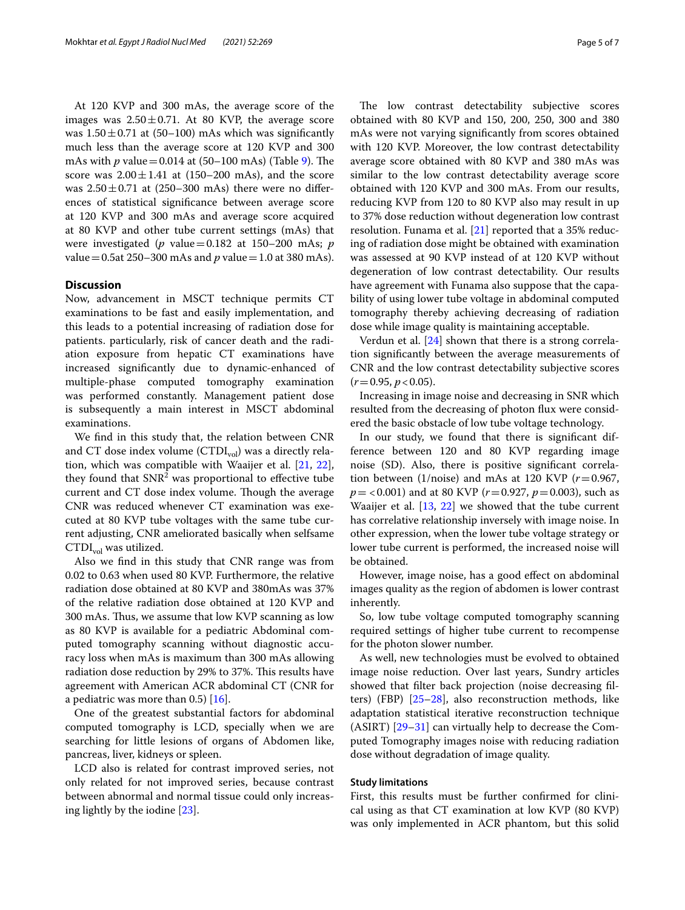At 120 KVP and 300 mAs, the average score of the images was  $2.50 \pm 0.71$ . At 80 KVP, the average score was  $1.50 \pm 0.71$  at (50–100) mAs which was significantly much less than the average score at 120 KVP and 300 mAs with  $p$  value = 0.014 at (50–100 mAs) (Table [9](#page-3-5)). The score was  $2.00 \pm 1.41$  at (150–200 mAs), and the score was  $2.50 \pm 0.71$  at (250–300 mAs) there were no differences of statistical signifcance between average score at 120 KVP and 300 mAs and average score acquired at 80 KVP and other tube current settings (mAs) that were investigated (*p* value=0.182 at 150–200 mAs; *p* value=0.5at 250–300 mAs and *p* value=1.0 at 380 mAs).

#### **Discussion**

Now, advancement in MSCT technique permits CT examinations to be fast and easily implementation, and this leads to a potential increasing of radiation dose for patients. particularly, risk of cancer death and the radiation exposure from hepatic CT examinations have increased signifcantly due to dynamic-enhanced of multiple-phase computed tomography examination was performed constantly. Management patient dose is subsequently a main interest in MSCT abdominal examinations.

We fnd in this study that, the relation between CNR and CT dose index volume  $(CTDI_{vol})$  was a directly relation, which was compatible with Waaijer et al. [[21](#page-6-6), [22](#page-6-7)], they found that  $SNR<sup>2</sup>$  was proportional to effective tube current and CT dose index volume. Though the average CNR was reduced whenever CT examination was executed at 80 KVP tube voltages with the same tube current adjusting, CNR ameliorated basically when selfsame  $\text{CTDI}_{\text{vol}}$  was utilized.

Also we fnd in this study that CNR range was from 0.02 to 0.63 when used 80 KVP. Furthermore, the relative radiation dose obtained at 80 KVP and 380mAs was 37% of the relative radiation dose obtained at 120 KVP and 300 mAs. Thus, we assume that low KVP scanning as low as 80 KVP is available for a pediatric Abdominal computed tomography scanning without diagnostic accuracy loss when mAs is maximum than 300 mAs allowing radiation dose reduction by 29% to 37%. This results have agreement with American ACR abdominal CT (CNR for a pediatric was more than  $0.5$  [\[16](#page-6-3)].

One of the greatest substantial factors for abdominal computed tomography is LCD, specially when we are searching for little lesions of organs of Abdomen like, pancreas, liver, kidneys or spleen.

LCD also is related for contrast improved series, not only related for not improved series, because contrast between abnormal and normal tissue could only increasing lightly by the iodine [\[23\]](#page-6-8).

The low contrast detectability subjective scores obtained with 80 KVP and 150, 200, 250, 300 and 380 mAs were not varying signifcantly from scores obtained with 120 KVP. Moreover, the low contrast detectability average score obtained with 80 KVP and 380 mAs was similar to the low contrast detectability average score obtained with 120 KVP and 300 mAs. From our results, reducing KVP from 120 to 80 KVP also may result in up to 37% dose reduction without degeneration low contrast resolution. Funama et al. [\[21](#page-6-6)] reported that a 35% reducing of radiation dose might be obtained with examination was assessed at 90 KVP instead of at 120 KVP without degeneration of low contrast detectability. Our results have agreement with Funama also suppose that the capability of using lower tube voltage in abdominal computed tomography thereby achieving decreasing of radiation dose while image quality is maintaining acceptable.

Verdun et al. [[24\]](#page-6-9) shown that there is a strong correlation signifcantly between the average measurements of CNR and the low contrast detectability subjective scores  $(r=0.95, p<0.05)$ .

Increasing in image noise and decreasing in SNR which resulted from the decreasing of photon fux were considered the basic obstacle of low tube voltage technology.

In our study, we found that there is signifcant difference between 120 and 80 KVP regarding image noise (SD). Also, there is positive signifcant correlation between (1/noise) and mAs at 120 KVP  $(r=0.967,$ *p*= <0.001) and at 80 KVP (*r*=0.927, *p*=0.003), such as Waaijer et al. [[13](#page-6-1), [22](#page-6-7)] we showed that the tube current has correlative relationship inversely with image noise. In other expression, when the lower tube voltage strategy or lower tube current is performed, the increased noise will be obtained.

However, image noise, has a good efect on abdominal images quality as the region of abdomen is lower contrast inherently.

So, low tube voltage computed tomography scanning required settings of higher tube current to recompense for the photon slower number.

As well, new technologies must be evolved to obtained image noise reduction. Over last years, Sundry articles showed that flter back projection (noise decreasing flters) (FBP) [\[25–](#page-6-10)[28\]](#page-6-11), also reconstruction methods, like adaptation statistical iterative reconstruction technique (ASIRT) [[29–](#page-6-12)[31\]](#page-6-13) can virtually help to decrease the Computed Tomography images noise with reducing radiation dose without degradation of image quality.

#### **Study limitations**

First, this results must be further confrmed for clinical using as that CT examination at low KVP (80 KVP) was only implemented in ACR phantom, but this solid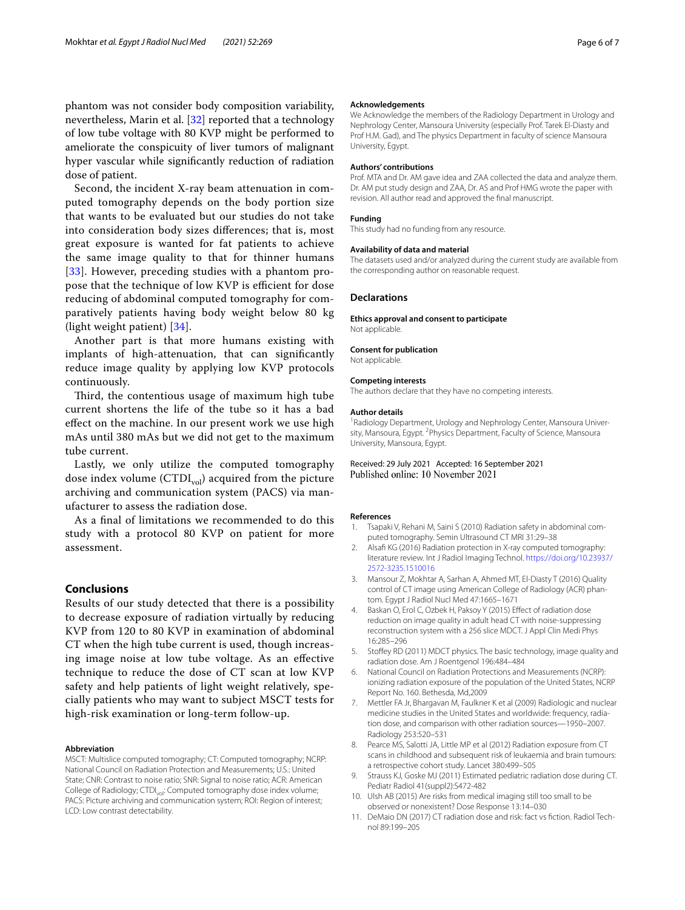phantom was not consider body composition variability, nevertheless, Marin et al. [[32\]](#page-6-14) reported that a technology of low tube voltage with 80 KVP might be performed to ameliorate the conspicuity of liver tumors of malignant hyper vascular while signifcantly reduction of radiation dose of patient.

Second, the incident X-ray beam attenuation in computed tomography depends on the body portion size that wants to be evaluated but our studies do not take into consideration body sizes diferences; that is, most great exposure is wanted for fat patients to achieve the same image quality to that for thinner humans [[33](#page-6-15)]. However, preceding studies with a phantom propose that the technique of low KVP is efficient for dose reducing of abdominal computed tomography for comparatively patients having body weight below 80 kg (light weight patient) [[34](#page-6-16)].

Another part is that more humans existing with implants of high-attenuation, that can signifcantly reduce image quality by applying low KVP protocols continuously.

Third, the contentious usage of maximum high tube current shortens the life of the tube so it has a bad efect on the machine. In our present work we use high mAs until 380 mAs but we did not get to the maximum tube current.

Lastly, we only utilize the computed tomography dose index volume  $(CTDI_{vol})$  acquired from the picture archiving and communication system (PACS) via manufacturer to assess the radiation dose.

As a fnal of limitations we recommended to do this study with a protocol 80 KVP on patient for more assessment.

## **Conclusions**

Results of our study detected that there is a possibility to decrease exposure of radiation virtually by reducing KVP from 120 to 80 KVP in examination of abdominal CT when the high tube current is used, though increasing image noise at low tube voltage. As an efective technique to reduce the dose of CT scan at low KVP safety and help patients of light weight relatively, specially patients who may want to subject MSCT tests for high-risk examination or long-term follow-up.

#### **Abbreviation**

MSCT: Multislice computed tomography; CT: Computed tomography; NCRP: National Council on Radiation Protection and Measurements; U.S.: United State; CNR: Contrast to noise ratio; SNR: Signal to noise ratio; ACR: American College of Radiology; CTDI<sub>vol</sub>: Computed tomography dose index volume; PACS: Picture archiving and communication system; ROI: Region of interest; LCD: Low contrast detectability.

#### **Acknowledgements**

We Acknowledge the members of the Radiology Department in Urology and Nephrology Center, Mansoura University (especially Prof. Tarek El-Diasty and Prof H.M. Gad), and The physics Department in faculty of science Mansoura University, Egypt.

#### **Authors' contributions**

Prof. MTA and Dr. AM gave idea and ZAA collected the data and analyze them. Dr. AM put study design and ZAA, Dr. AS and Prof HMG wrote the paper with revision. All author read and approved the fnal manuscript.

#### **Funding**

This study had no funding from any resource.

#### **Availability of data and material**

The datasets used and/or analyzed during the current study are available from the corresponding author on reasonable request.

#### **Declarations**

**Ethics approval and consent to participate**

Not applicable.

#### **Consent for publication**

Not applicable.

#### **Competing interests**

The authors declare that they have no competing interests.

#### **Author details**

<sup>1</sup> Radiology Department, Urology and Nephrology Center, Mansoura University, Mansoura, Egypt. <sup>2</sup> Physics Department, Faculty of Science, Mansoura University, Mansoura, Egypt.

#### Received: 29 July 2021 Accepted: 16 September 2021 Published online: 10 November 2021

#### **References**

- <span id="page-5-0"></span>Tsapaki V, Rehani M, Saini S (2010) Radiation safety in abdominal computed tomography. Semin Ultrasound CT MRI 31:29–38
- 2. Alsafi KG (2016) Radiation protection in X-ray computed tomography: literature review. Int J Radiol Imaging Technol. [https://doi.org/10.23937/](https://doi.org/10.23937/2572-3235.1510016) [2572-3235.1510016](https://doi.org/10.23937/2572-3235.1510016)
- 3. Mansour Z, Mokhtar A, Sarhan A, Ahmed MT, El-Diasty T (2016) Quality control of CT image using American College of Radiology (ACR) phantom. Egypt J Radiol Nucl Med 47:1665–1671
- <span id="page-5-1"></span>4. Baskan O, Erol C, Ozbek H, Paksoy Y (2015) Efect of radiation dose reduction on image quality in adult head CT with noise-suppressing reconstruction system with a 256 slice MDCT. J Appl Clin Medi Phys 16:285–296
- <span id="page-5-2"></span>5. Stofey RD (2011) MDCT physics. The basic technology, image quality and radiation dose. Am J Roentgenol 196:484–484
- <span id="page-5-3"></span>6. National Council on Radiation Protections and Measurements (NCRP): ionizing radiation exposure of the population of the United States, NCRP Report No. 160. Bethesda, Md,2009
- <span id="page-5-4"></span>7. Mettler FA Jr, Bhargavan M, Faulkner K et al (2009) Radiologic and nuclear medicine studies in the United States and worldwide: frequency, radiation dose, and comparison with other radiation sources—1950–2007. Radiology 253:520–531
- <span id="page-5-5"></span>8. Pearce MS, Salotti JA, Little MP et al (2012) Radiation exposure from CT scans in childhood and subsequent risk of leukaemia and brain tumours: a retrospective cohort study. Lancet 380:499–505
- 9. Strauss KJ, Goske MJ (2011) Estimated pediatric radiation dose during CT. Pediatr Radiol 41(suppl2):S472-482
- 10. Ulsh AB (2015) Are risks from medical imaging still too small to be observed or nonexistent? Dose Response 13:14–030
- <span id="page-5-6"></span>11. DeMaio DN (2017) CT radiation dose and risk: fact vs fction. Radiol Technol 89:199–205